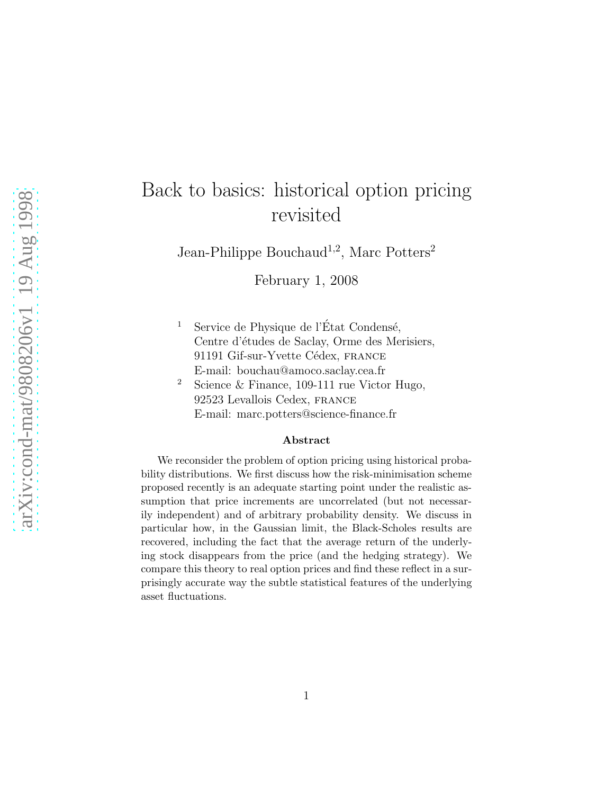# Back to basics: historical option pricing revisited

Jean-Philippe Bouchaud<sup>1,2</sup>, Marc Potters<sup>2</sup>

February 1, 2008

- <sup>1</sup> Service de Physique de l'État Condensé, Centre d'études de Saclay, Orme des Merisiers, 91191 Gif-sur-Yvette Cédex, FRANCE E-mail: bouchau@amoco.saclay.cea.fr
- <sup>2</sup> Science & Finance, 109-111 rue Victor Hugo, 92523 Levallois Cedex, france E-mail: marc.potters@science-finance.fr

#### Abstract

We reconsider the problem of option pricing using historical probability distributions. We first discuss how the risk-minimisation scheme proposed recently is an adequate starting point under the realistic assumption that price increments are uncorrelated (but not necessarily independent) and of arbitrary probability density. We discuss in particular how, in the Gaussian limit, the Black-Scholes results are recovered, including the fact that the average return of the underlying stock disappears from the price (and the hedging strategy). We compare this theory to real option prices and find these reflect in a surprisingly accurate way the subtle statistical features of the underlying asset fluctuations.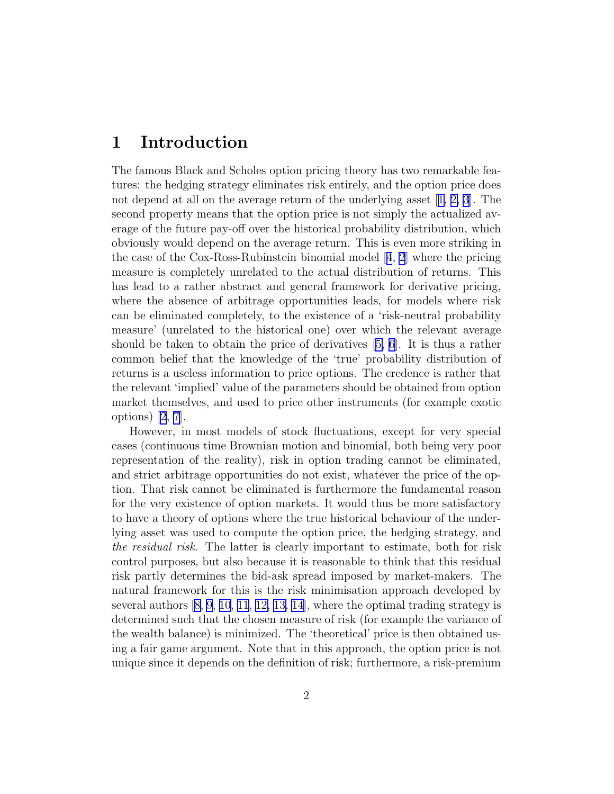## 1 Introduction

The famous Black and Scholes option pricing theory has two remarkable features: the hedging strategy eliminates risk entirely, and the option price does not depend at all on the average return of the underlying asset[[1, 2, 3](#page-12-0)]. The second property means that the option price is not simply the actualized average of the future pay-off over the historical probability distribution, which obviously would depend on the average return. This is even more striking in thecase of the Cox-Ross-Rubinstein binomial model  $[4, 2]$  $[4, 2]$  $[4, 2]$  $[4, 2]$  $[4, 2]$  where the pricing measure is completely unrelated to the actual distribution of returns. This has lead to a rather abstract and general framework for derivative pricing, where the absence of arbitrage opportunities leads, for models where risk can be eliminated completely, to the existence of a 'risk-neutral probability measure' (unrelated to the historical one) over which the relevant average should be taken to obtain the price of derivatives[[5, 6](#page-12-0)]. It is thus a rather common belief that the knowledge of the 'true' probability distribution of returns is a useless information to price options. The credence is rather that the relevant 'implied' value of the parameters should be obtained from option market themselves, and used to price other instruments (for example exotic options) [\[2](#page-12-0), [7](#page-12-0)].

However, in most models of stock fluctuations, except for very special cases (continuous time Brownian motion and binomial, both being very poor representation of the reality), risk in option trading cannot be eliminated, and strict arbitrage opportunities do not exist, whatever the price of the option. That risk cannot be eliminated is furthermore the fundamental reason for the very existence of option markets. It would thus be more satisfactory to have a theory of options where the true historical behaviour of the underlying asset was used to compute the option price, the hedging strategy, and the residual risk. The latter is clearly important to estimate, both for risk control purposes, but also because it is reasonable to think that this residual risk partly determines the bid-ask spread imposed by market-makers. The natural framework for this is the risk minimisation approach developed by several authors[[8, 9](#page-12-0), [10](#page-12-0), [11](#page-12-0), [12, 13, 14\]](#page-13-0), where the optimal trading strategy is determined such that the chosen measure of risk (for example the variance of the wealth balance) is minimized. The 'theoretical' price is then obtained using a fair game argument. Note that in this approach, the option price is not unique since it depends on the definition of risk; furthermore, a risk-premium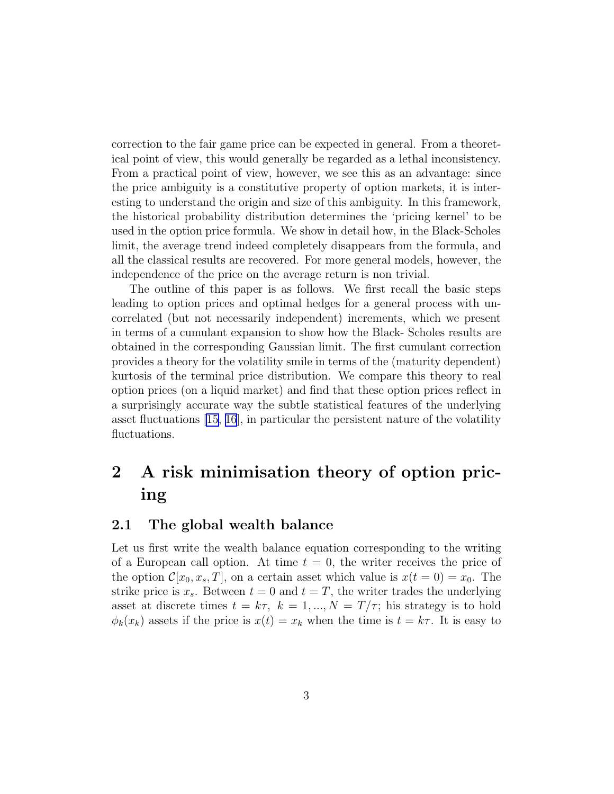correction to the fair game price can be expected in general. From a theoretical point of view, this would generally be regarded as a lethal inconsistency. From a practical point of view, however, we see this as an advantage: since the price ambiguity is a constitutive property of option markets, it is interesting to understand the origin and size of this ambiguity. In this framework, the historical probability distribution determines the 'pricing kernel' to be used in the option price formula. We show in detail how, in the Black-Scholes limit, the average trend indeed completely disappears from the formula, and all the classical results are recovered. For more general models, however, the independence of the price on the average return is non trivial.

The outline of this paper is as follows. We first recall the basic steps leading to option prices and optimal hedges for a general process with uncorrelated (but not necessarily independent) increments, which we present in terms of a cumulant expansion to show how the Black- Scholes results are obtained in the corresponding Gaussian limit. The first cumulant correction provides a theory for the volatility smile in terms of the (maturity dependent) kurtosis of the terminal price distribution. We compare this theory to real option prices (on a liquid market) and find that these option prices reflect in a surprisingly accurate way the subtle statistical features of the underlying asset fluctuations [\[15, 16](#page-13-0)], in particular the persistent nature of the volatility fluctuations.

## 2 A risk minimisation theory of option pricing

#### 2.1 The global wealth balance

Let us first write the wealth balance equation corresponding to the writing of a European call option. At time  $t = 0$ , the writer receives the price of the option  $\mathcal{C}[x_0, x_s, T]$ , on a certain asset which value is  $x(t = 0) = x_0$ . The strike price is  $x_s$ . Between  $t = 0$  and  $t = T$ , the writer trades the underlying asset at discrete times  $t = k\tau$ ,  $k = 1, ..., N = T/\tau$ ; his strategy is to hold  $\phi_k(x_k)$  assets if the price is  $x(t) = x_k$  when the time is  $t = k\tau$ . It is easy to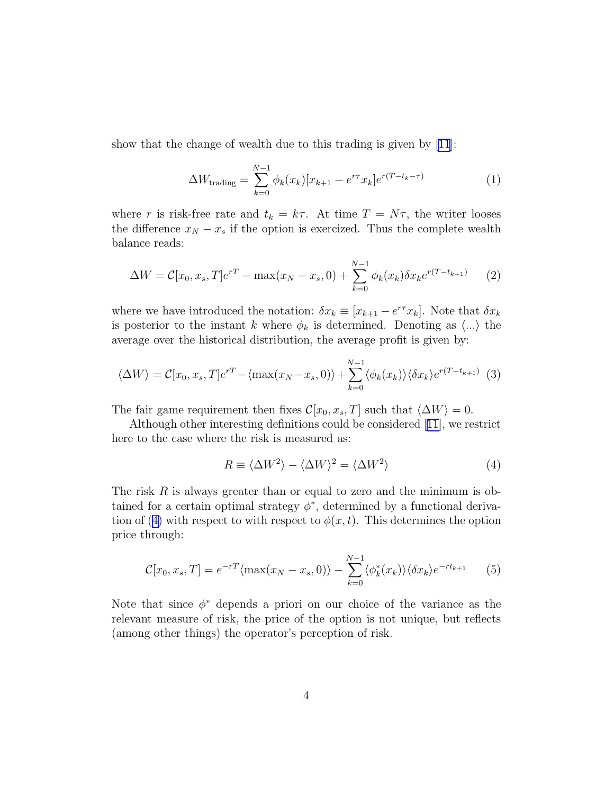<span id="page-3-0"></span>show that the change of wealth due to this trading is given by [\[11](#page-12-0)]:

$$
\Delta W_{\text{trading}} = \sum_{k=0}^{N-1} \phi_k(x_k) [x_{k+1} - e^{r\tau} x_k] e^{r(T - t_k - \tau)}
$$
(1)

where r is risk-free rate and  $t_k = k\tau$ . At time  $T = N\tau$ , the writer looses the difference  $x_N - x_s$  if the option is exercized. Thus the complete wealth balance reads:

$$
\Delta W = C[x_0, x_s, T]e^{rT} - \max(x_N - x_s, 0) + \sum_{k=0}^{N-1} \phi_k(x_k) \delta x_k e^{r(T - t_{k+1})}
$$
 (2)

where we have introduced the notation:  $\delta x_k \equiv [x_{k+1} - e^{r\tau} x_k]$ . Note that  $\delta x_k$ is posterior to the instant k where  $\phi_k$  is determined. Denoting as  $\langle ... \rangle$  the average over the historical distribution, the average profit is given by:

$$
\langle \Delta W \rangle = C[x_0, x_s, T]e^{rT} - \langle \max(x_N - x_s, 0) \rangle + \sum_{k=0}^{N-1} \langle \phi_k(x_k) \rangle \langle \delta x_k \rangle e^{r(T - t_{k+1})} \tag{3}
$$

The fair game requirement then fixes  $\mathcal{C}[x_0, x_s, T]$  such that  $\langle \Delta W \rangle = 0$ .

Although other interesting definitions could be considered [[11\]](#page-12-0), we restrict here to the case where the risk is measured as:

$$
R \equiv \langle \Delta W^2 \rangle - \langle \Delta W \rangle^2 = \langle \Delta W^2 \rangle \tag{4}
$$

The risk  $R$  is always greater than or equal to zero and the minimum is obtained for a certain optimal strategy  $\phi^*$ , determined by a functional derivation of (4) with respect to with respect to  $\phi(x,t)$ . This determines the option price through:

$$
\mathcal{C}[x_0, x_s, T] = e^{-rT} \langle \max(x_N - x_s, 0) \rangle - \sum_{k=0}^{N-1} \langle \phi_k^*(x_k) \rangle \langle \delta x_k \rangle e^{-rt_{k+1}} \qquad (5)
$$

Note that since  $\phi^*$  depends a priori on our choice of the variance as the relevant measure of risk, the price of the option is not unique, but reflects (among other things) the operator's perception of risk.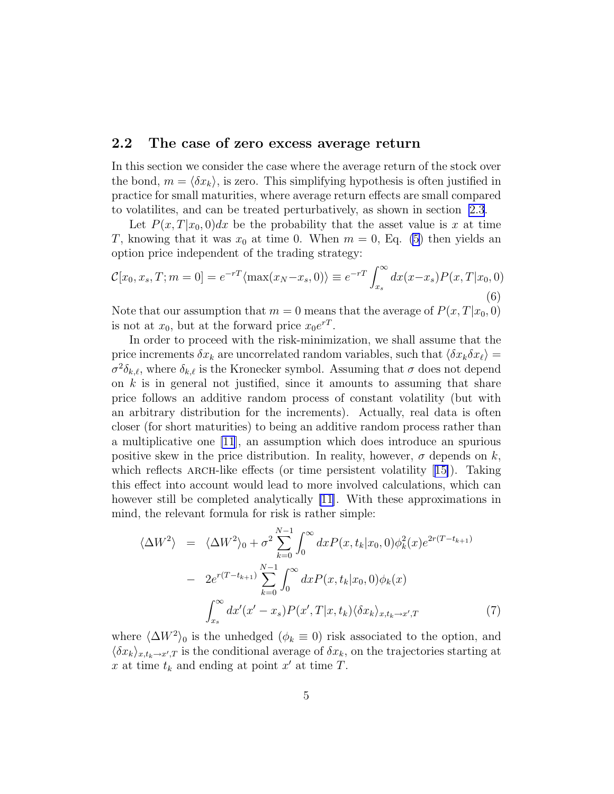#### <span id="page-4-0"></span>2.2 The case of zero excess average return

In this section we consider the case where the average return of the stock over the bond,  $m = \langle \delta x_k \rangle$ , is zero. This simplifying hypothesis is often justified in practice for small maturities, where average return effects are small compared to volatilites, and can be treated perturbatively, as shown in section [2.3](#page-5-0).

Let  $P(x,T|x_0,0)dx$  be the probability that the asset value is x at time T, knowing that it was  $x_0$  at time 0. When  $m = 0$ , Eq. [\(5](#page-3-0)) then yields an option price independent of the trading strategy:

$$
\mathcal{C}[x_0, x_s, T; m = 0] = e^{-rT} \langle \max(x_N - x_s, 0) \rangle \equiv e^{-rT} \int_{x_s}^{\infty} dx (x - x_s) P(x, T | x_0, 0)
$$
\n(6)

Note that our assumption that  $m = 0$  means that the average of  $P(x, T|x_0, 0)$ is not at  $x_0$ , but at the forward price  $x_0e^{rT}$ .

In order to proceed with the risk-minimization, we shall assume that the price increments  $\delta x_k$  are uncorrelated random variables, such that  $\langle \delta x_k \delta x_\ell \rangle =$  $\sigma^2 \delta_{k,\ell}$ , where  $\delta_{k,\ell}$  is the Kronecker symbol. Assuming that  $\sigma$  does not depend on  $k$  is in general not justified, since it amounts to assuming that share price follows an additive random process of constant volatility (but with an arbitrary distribution for the increments). Actually, real data is often closer (for short maturities) to being an additive random process rather than a multiplicative one [\[11](#page-12-0)], an assumption which does introduce an spurious positive skew in the price distribution. In reality, however,  $\sigma$  depends on k, whichreflects ARCH-like effects (or time persistent volatility  $[15]$  $[15]$ ). Taking this effect into account would lead to more involved calculations, which can however still be completed analytically [\[11\]](#page-12-0). With these approximations in mind, the relevant formula for risk is rather simple:

$$
\langle \Delta W^{2} \rangle = \langle \Delta W^{2} \rangle_{0} + \sigma^{2} \sum_{k=0}^{N-1} \int_{0}^{\infty} dx P(x, t_{k} | x_{0}, 0) \phi_{k}^{2}(x) e^{2r(T - t_{k+1})}
$$

$$
- 2e^{r(T - t_{k+1})} \sum_{k=0}^{N-1} \int_{0}^{\infty} dx P(x, t_{k} | x_{0}, 0) \phi_{k}(x)
$$

$$
\int_{x_{s}}^{\infty} dx'(x' - x_{s}) P(x', T | x, t_{k}) \langle \delta x_{k} \rangle_{x, t_{k} \to x', T} \tag{7}
$$

where  $\langle \Delta W^2 \rangle_0$  is the unhedged  $(\phi_k \equiv 0)$  risk associated to the option, and  $\langle \delta x_k \rangle_{x,t_k \to x',T}$  is the conditional average of  $\delta x_k$ , on the trajectories starting at x at time  $t_k$  and ending at point x' at time T.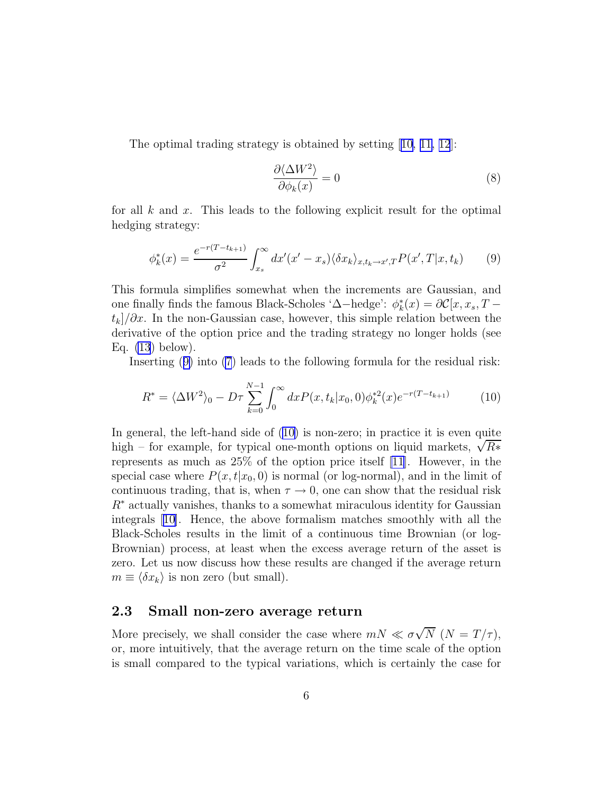<span id="page-5-0"></span>The optimal trading strategy is obtained by setting [\[10, 11,](#page-12-0) [12](#page-13-0)]:

$$
\frac{\partial \langle \Delta W^2 \rangle}{\partial \phi_k(x)} = 0 \tag{8}
$$

for all k and x. This leads to the following explicit result for the optimal hedging strategy:

$$
\phi_k^*(x) = \frac{e^{-r(T-t_{k+1})}}{\sigma^2} \int_{x_s}^{\infty} dx'(x'-x_s) \langle \delta x_k \rangle_{x,t_k \to x',T} P(x',T|x,t_k) \tag{9}
$$

This formula simplifies somewhat when the increments are Gaussian, and one finally finds the famous Black-Scholes ' $\Delta$ −hedge':  $\phi_k^*$  $\kappa_k^*(x) = \partial \mathcal{C}[x, x_s, T]$  $t_k/\partial x$ . In the non-Gaussian case, however, this simple relation between the derivative of the option price and the trading strategy no longer holds (see Eq.  $(13)$  $(13)$  below).

Inserting (9) into [\(7](#page-4-0)) leads to the following formula for the residual risk:

$$
R^* = \langle \Delta W^2 \rangle_0 - D\tau \sum_{k=0}^{N-1} \int_0^\infty dx P(x, t_k | x_0, 0) \phi_k^{*2}(x) e^{-r(T - t_{k+1})}
$$
(10)

In general, the left-hand side of (10) is non-zero; in practice it is even quite high – for example, for typical one-month options on liquid markets,  $\sqrt{R*}$ represents as much as 25% of the option price itself [\[11\]](#page-12-0). However, in the special case where  $P(x, t|x_0, 0)$  is normal (or log-normal), and in the limit of continuous trading, that is, when  $\tau \to 0$ , one can show that the residual risk  $R^*$  actually vanishes, thanks to a somewhat miraculous identity for Gaussian integrals[[10\]](#page-12-0). Hence, the above formalism matches smoothly with all the Black-Scholes results in the limit of a continuous time Brownian (or log-Brownian) process, at least when the excess average return of the asset is zero. Let us now discuss how these results are changed if the average return  $m \equiv \langle \delta x_k \rangle$  is non zero (but small).

#### 2.3 Small non-zero average return

More precisely, we shall consider the case where  $mN \ll \sigma\sqrt{N}$   $(N = T/\tau)$ , or, more intuitively, that the average return on the time scale of the option is small compared to the typical variations, which is certainly the case for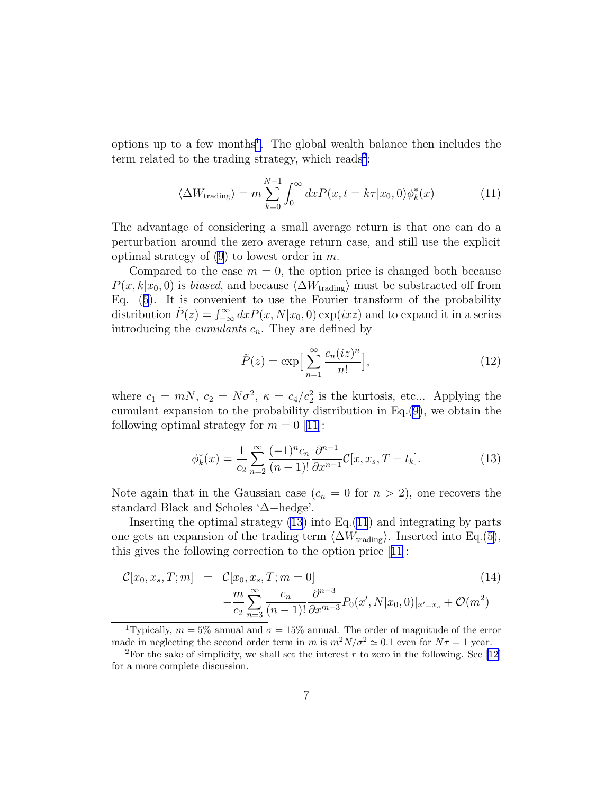<span id="page-6-0"></span>options up to a few months<sup>1</sup>. The global wealth balance then includes the term related to the trading strategy, which reads<sup>2</sup>:

$$
\langle \Delta W_{\text{trading}} \rangle = m \sum_{k=0}^{N-1} \int_0^\infty dx P(x, t = k\tau | x_0, 0) \phi_k^*(x) \tag{11}
$$

The advantage of considering a small average return is that one can do a perturbation around the zero average return case, and still use the explicit optimal strategy of  $(9)$  $(9)$  to lowest order in m.

Compared to the case  $m = 0$ , the option price is changed both because  $P(x, k|x_0, 0)$  is *biased*, and because  $\langle \Delta W_{\text{trading}} \rangle$  must be substracted off from Eq. ([5](#page-3-0)). It is convenient to use the Fourier transform of the probability distribution  $\tilde{P}(z) = \int_{-\infty}^{\infty} dx P(x, N|x_0, 0) \exp(ixz)$  and to expand it in a series introducing the *cumulants*  $c_n$ . They are defined by

$$
\tilde{P}(z) = \exp\Big[\sum_{n=1}^{\infty} \frac{c_n (iz)^n}{n!} \Big],\tag{12}
$$

where  $c_1 = mN$ ,  $c_2 = N\sigma^2$ ,  $\kappa = c_4/c_2^2$  is the kurtosis, etc... Applying the cumulant expansion to the probability distribution in Eq.([9\)](#page-5-0), we obtain the followingoptimal strategy for  $m = 0$  [[11\]](#page-12-0):

$$
\phi_k^*(x) = \frac{1}{c_2} \sum_{n=2}^{\infty} \frac{(-1)^n c_n}{(n-1)!} \frac{\partial^{n-1}}{\partial x^{n-1}} C[x, x_s, T - t_k].
$$
\n(13)

Note again that in the Gaussian case  $(c_n = 0 \text{ for } n > 2)$ , one recovers the standard Black and Scholes '∆−hedge'.

Inserting the optimal strategy  $(13)$  into Eq. $(11)$  and integrating by parts one gets an expansion of the trading term  $\langle \Delta W_{\text{trading}} \rangle$ . Inserted into Eq.[\(5](#page-3-0)), this gives the following correction to the option price[[11\]](#page-12-0):

$$
\mathcal{C}[x_0, x_s, T; m] = \mathcal{C}[x_0, x_s, T; m = 0]
$$
\n
$$
-\frac{m}{c_2} \sum_{n=3}^{\infty} \frac{c_n}{(n-1)!} \frac{\partial^{n-3}}{\partial x'^{n-3}} P_0(x', N | x_0, 0) |_{x'=x_s} + \mathcal{O}(m^2)
$$
\n(14)

<sup>1</sup>Typically,  $m = 5\%$  annual and  $\sigma = 15\%$  annual. The order of magnitude of the error made in neglecting the second order term in m is  $m^2N/\sigma^2 \simeq 0.1$  even for  $N\tau = 1$  year.

<sup>&</sup>lt;sup>2</sup>For the sake of simplicity, we shall set the interest r to zero in the following. See [\[12](#page-13-0)] for a more complete discussion.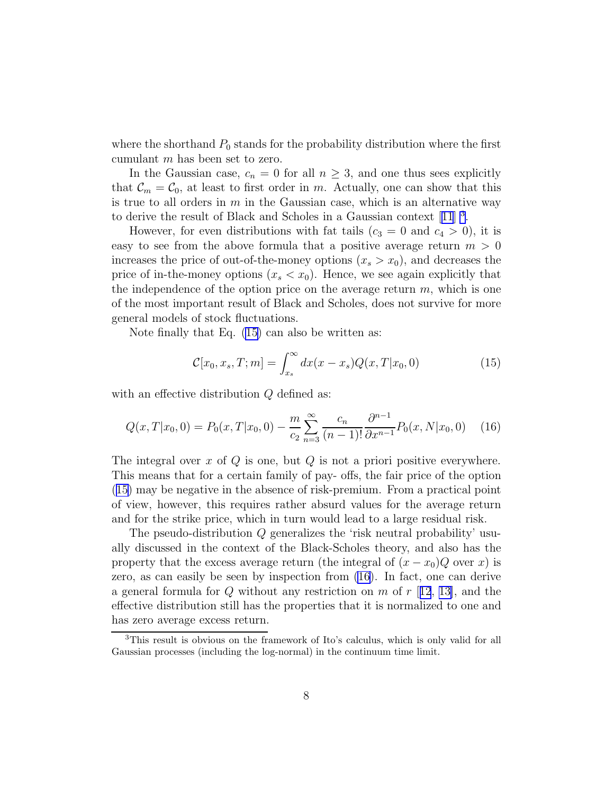where the shorthand  $P_0$  stands for the probability distribution where the first cumulant m has been set to zero.

In the Gaussian case,  $c_n = 0$  for all  $n \geq 3$ , and one thus sees explicitly that  $\mathcal{C}_m = \mathcal{C}_0$ , at least to first order in m. Actually, one can show that this is true to all orders in  $m$  in the Gaussian case, which is an alternative way toderive the result of Black and Scholes in a Gaussian context [[11](#page-12-0)]<sup>3</sup>.

However, for even distributions with fat tails  $(c_3 = 0 \text{ and } c_4 > 0)$ , it is easy to see from the above formula that a positive average return  $m > 0$ increases the price of out-of-the-money options  $(x_s > x_0)$ , and decreases the price of in-the-money options  $(x_s < x_0)$ . Hence, we see again explicitly that the independence of the option price on the average return  $m$ , which is one of the most important result of Black and Scholes, does not survive for more general models of stock fluctuations.

Note finally that Eq. [\(15\)](#page-6-0) can also be written as:

$$
C[x_0, x_s, T; m] = \int_{x_s}^{\infty} dx (x - x_s) Q(x, T | x_0, 0)
$$
\n(15)

with an effective distribution Q defined as:

$$
Q(x,T|x_0,0) = P_0(x,T|x_0,0) - \frac{m}{c_2} \sum_{n=3}^{\infty} \frac{c_n}{(n-1)!} \frac{\partial^{n-1}}{\partial x^{n-1}} P_0(x,N|x_0,0) \quad (16)
$$

The integral over x of  $Q$  is one, but  $Q$  is not a priori positive everywhere. This means that for a certain family of pay- offs, the fair price of the option (15) may be negative in the absence of risk-premium. From a practical point of view, however, this requires rather absurd values for the average return and for the strike price, which in turn would lead to a large residual risk.

The pseudo-distribution Q generalizes the 'risk neutral probability' usually discussed in the context of the Black-Scholes theory, and also has the property that the excess average return (the integral of  $(x - x_0)Q$  over x) is zero, as can easily be seen by inspection from (16). In fact, one can derive a general formula for Q without any restriction on  $m$  of  $r$  [[12](#page-13-0), [13\]](#page-13-0), and the effective distribution still has the properties that it is normalized to one and has zero average excess return.

<sup>3</sup>This result is obvious on the framework of Ito's calculus, which is only valid for all Gaussian processes (including the log-normal) in the continuum time limit.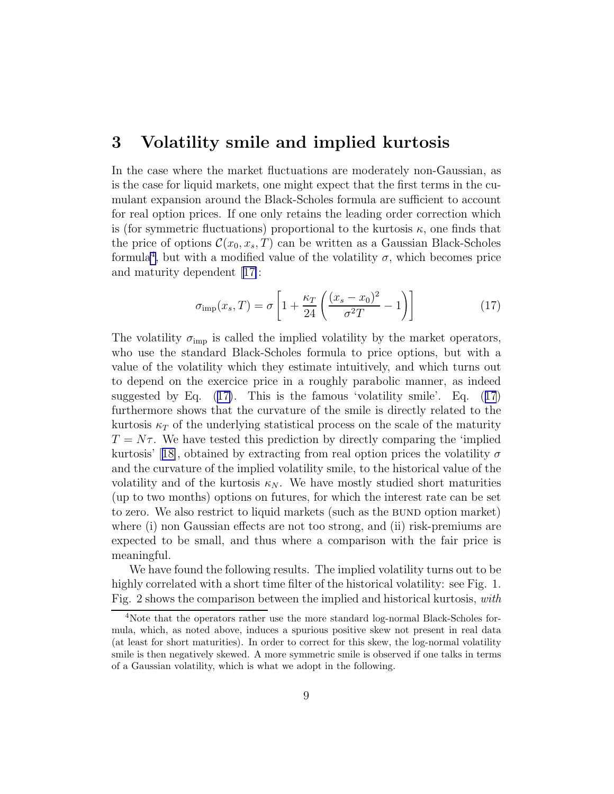### <span id="page-8-0"></span>3 Volatility smile and implied kurtosis

In the case where the market fluctuations are moderately non-Gaussian, as is the case for liquid markets, one might expect that the first terms in the cumulant expansion around the Black-Scholes formula are sufficient to account for real option prices. If one only retains the leading order correction which is (for symmetric fluctuations) proportional to the kurtosis  $\kappa$ , one finds that the price of options  $\mathcal{C}(x_0, x_s, T)$  can be written as a Gaussian Black-Scholes formula<sup>4</sup>, but with a modified value of the volatility  $\sigma$ , which becomes price and maturity dependent[[17\]](#page-13-0):

$$
\sigma_{\rm imp}(x_s, T) = \sigma \left[ 1 + \frac{\kappa_T}{24} \left( \frac{(x_s - x_0)^2}{\sigma^2 T} - 1 \right) \right]
$$
\n(17)

The volatility  $\sigma_{\rm imp}$  is called the implied volatility by the market operators, who use the standard Black-Scholes formula to price options, but with a value of the volatility which they estimate intuitively, and which turns out to depend on the exercice price in a roughly parabolic manner, as indeed suggested by Eq.  $(17)$ . This is the famous 'volatility smile'. Eq.  $(17)$ furthermore shows that the curvature of the smile is directly related to the kurtosis  $\kappa_T$  of the underlying statistical process on the scale of the maturity  $T = N\tau$ . We have tested this prediction by directly comparing the 'implied kurtosis'[[18\]](#page-13-0), obtained by extracting from real option prices the volatility  $\sigma$ and the curvature of the implied volatility smile, to the historical value of the volatility and of the kurtosis  $\kappa_N$ . We have mostly studied short maturities (up to two months) options on futures, for which the interest rate can be set to zero. We also restrict to liquid markets (such as the bund option market) where (i) non Gaussian effects are not too strong, and (ii) risk-premiums are expected to be small, and thus where a comparison with the fair price is meaningful.

We have found the following results. The implied volatility turns out to be highly correlated with a short time filter of the historical volatility: see Fig. 1. Fig. 2 shows the comparison between the implied and historical kurtosis, with

<sup>4</sup>Note that the operators rather use the more standard log-normal Black-Scholes formula, which, as noted above, induces a spurious positive skew not present in real data (at least for short maturities). In order to correct for this skew, the log-normal volatility smile is then negatively skewed. A more symmetric smile is observed if one talks in terms of a Gaussian volatility, which is what we adopt in the following.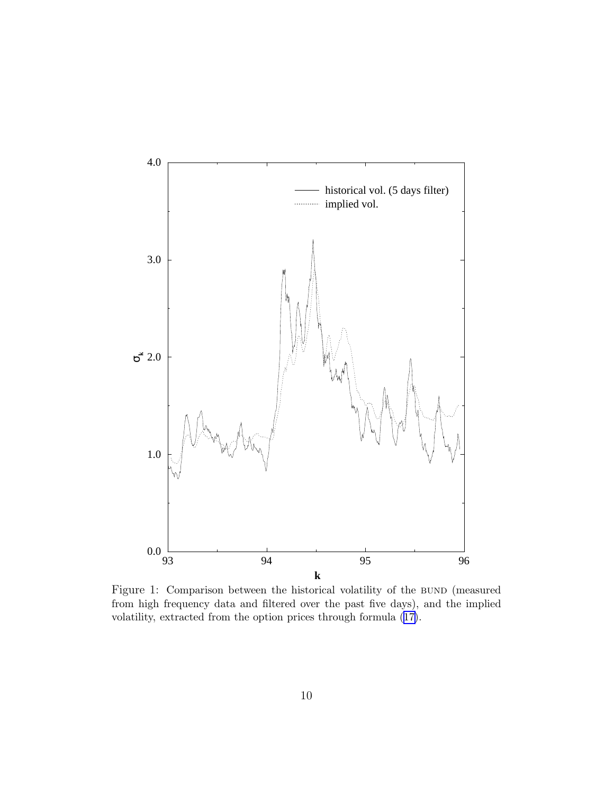

Figure 1: Comparison between the historical volatility of the BUND (measured from high frequency data and filtered over the past five days), and the implied volatility, extracted from the option prices through formula ([17\)](#page-8-0).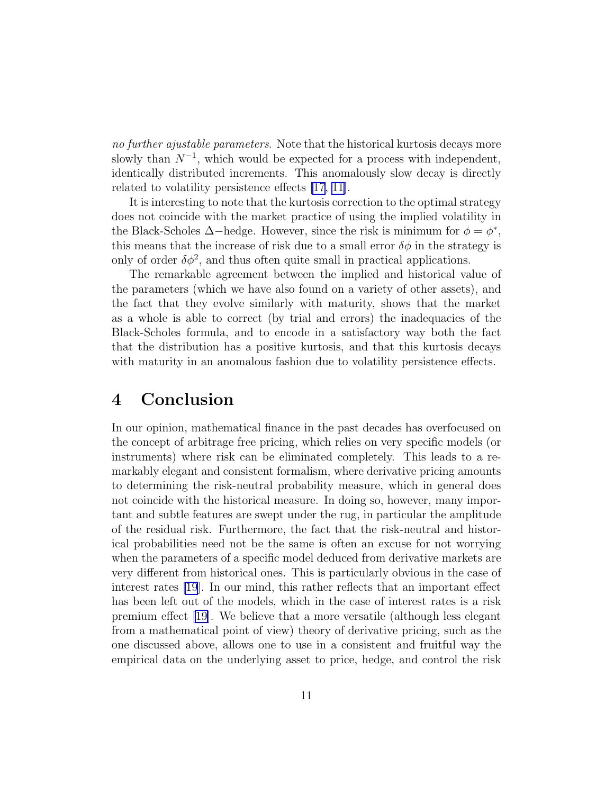no further ajustable parameters. Note that the historical kurtosis decays more slowly than  $N^{-1}$ , which would be expected for a process with independent, identically distributed increments. This anomalously slow decay is directly related to volatility persistence effects [\[17](#page-13-0), [11](#page-12-0)].

It is interesting to note that the kurtosis correction to the optimal strategy does not coincide with the market practice of using the implied volatility in the Black-Scholes  $\Delta$ −hedge. However, since the risk is minimum for  $\phi = \phi^*$ , this means that the increase of risk due to a small error  $\delta\phi$  in the strategy is only of order  $\delta\phi^2$ , and thus often quite small in practical applications.

The remarkable agreement between the implied and historical value of the parameters (which we have also found on a variety of other assets), and the fact that they evolve similarly with maturity, shows that the market as a whole is able to correct (by trial and errors) the inadequacies of the Black-Scholes formula, and to encode in a satisfactory way both the fact that the distribution has a positive kurtosis, and that this kurtosis decays with maturity in an anomalous fashion due to volatility persistence effects.

## 4 Conclusion

In our opinion, mathematical finance in the past decades has overfocused on the concept of arbitrage free pricing, which relies on very specific models (or instruments) where risk can be eliminated completely. This leads to a remarkably elegant and consistent formalism, where derivative pricing amounts to determining the risk-neutral probability measure, which in general does not coincide with the historical measure. In doing so, however, many important and subtle features are swept under the rug, in particular the amplitude of the residual risk. Furthermore, the fact that the risk-neutral and historical probabilities need not be the same is often an excuse for not worrying when the parameters of a specific model deduced from derivative markets are very different from historical ones. This is particularly obvious in the case of interest rates [\[19](#page-13-0)]. In our mind, this rather reflects that an important effect has been left out of the models, which in the case of interest rates is a risk premium effect [\[19\]](#page-13-0). We believe that a more versatile (although less elegant from a mathematical point of view) theory of derivative pricing, such as the one discussed above, allows one to use in a consistent and fruitful way the empirical data on the underlying asset to price, hedge, and control the risk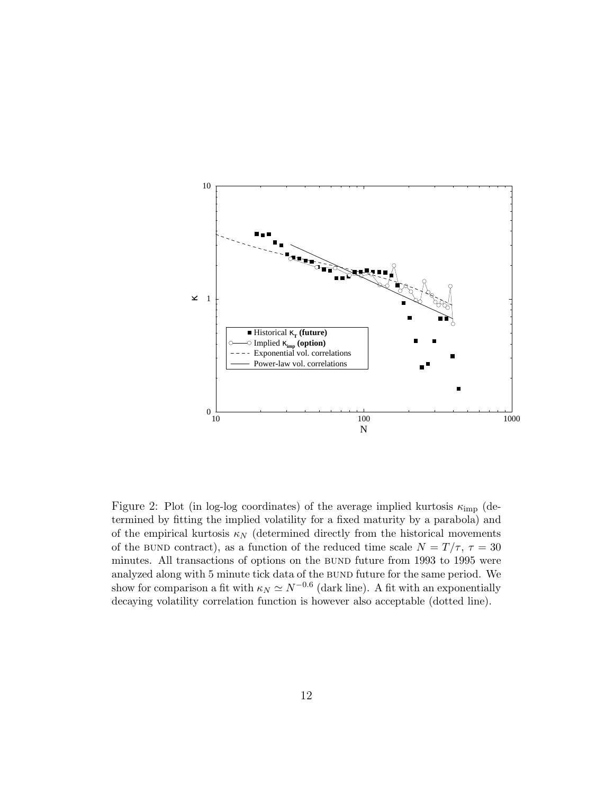

Figure 2: Plot (in log-log coordinates) of the average implied kurtosis  $\kappa_{\rm imp}$  (determined by fitting the implied volatility for a fixed maturity by a parabola) and of the empirical kurtosis  $\kappa_N$  (determined directly from the historical movements of the BUND contract), as a function of the reduced time scale  $N = T/\tau$ ,  $\tau = 30$ minutes. All transactions of options on the bund future from 1993 to 1995 were analyzed along with 5 minute tick data of the bund future for the same period. We show for comparison a fit with  $\kappa_N \simeq N^{-0.6}$  (dark line). A fit with an exponentially decaying volatility correlation function is however also acceptable (dotted line).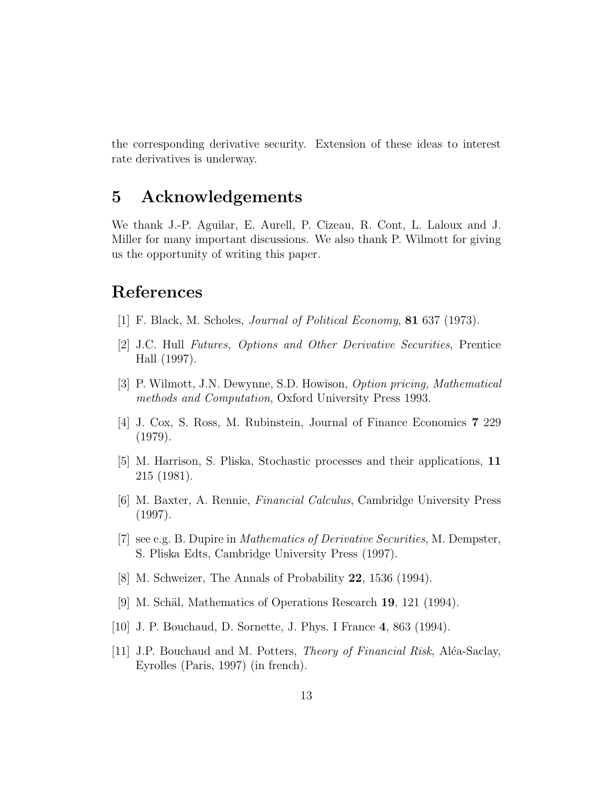<span id="page-12-0"></span>the corresponding derivative security. Extension of these ideas to interest rate derivatives is underway.

## 5 Acknowledgements

We thank J.-P. Aguilar, E. Aurell, P. Cizeau, R. Cont, L. Laloux and J. Miller for many important discussions. We also thank P. Wilmott for giving us the opportunity of writing this paper.

## References

- [1] F. Black, M. Scholes, Journal of Political Economy, 81 637 (1973).
- [2] J.C. Hull Futures, Options and Other Derivative Securities, Prentice Hall (1997).
- [3] P. Wilmott, J.N. Dewynne, S.D. Howison, Option pricing, Mathematical methods and Computation, Oxford University Press 1993.
- [4] J. Cox, S. Ross, M. Rubinstein, Journal of Finance Economics 7 229 (1979).
- [5] M. Harrison, S. Pliska, Stochastic processes and their applications, 11 215 (1981).
- [6] M. Baxter, A. Rennie, Financial Calculus, Cambridge University Press (1997).
- [7] see e.g. B. Dupire in Mathematics of Derivative Securities, M. Dempster, S. Pliska Edts, Cambridge University Press (1997).
- [8] M. Schweizer, The Annals of Probability 22, 1536 (1994).
- [9] M. Schäl, Mathematics of Operations Research  $19$ , 121 (1994).
- [10] J. P. Bouchaud, D. Sornette, J. Phys. I France 4, 863 (1994).
- [11] J.P. Bouchaud and M. Potters, *Theory of Financial Risk*, Aléa-Saclay, Eyrolles (Paris, 1997) (in french).